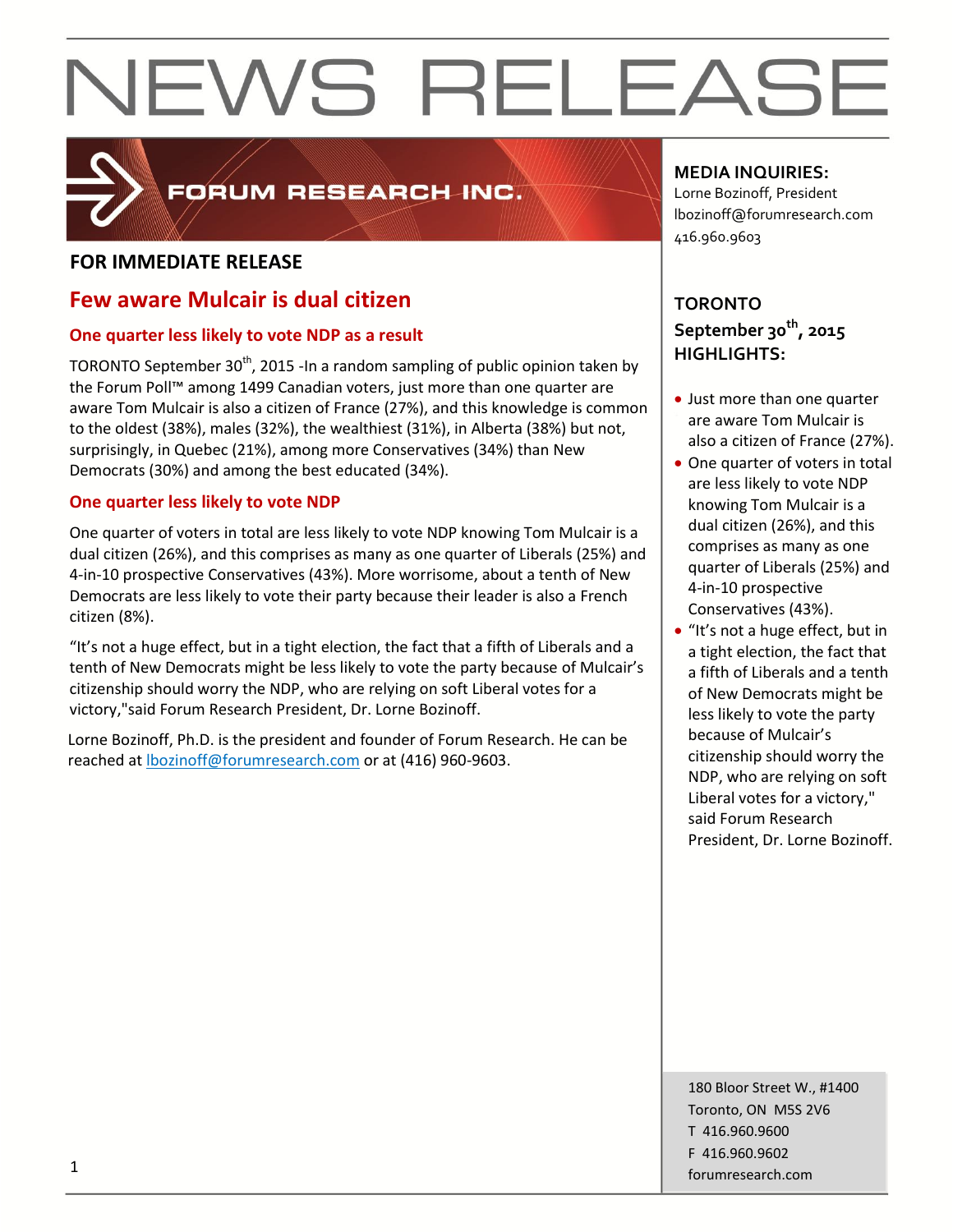

## FORUM RESEARCH INC.

### **FOR IMMEDIATE RELEASE**

## **Few aware Mulcair is dual citizen**

### **One quarter less likely to vote NDP as a result**

TORONTO September 30<sup>th</sup>, 2015 -In a random sampling of public opinion taken by the Forum Poll™ among 1499 Canadian voters, just more than one quarter are aware Tom Mulcair is also a citizen of France (27%), and this knowledge is common to the oldest (38%), males (32%), the wealthiest (31%), in Alberta (38%) but not, surprisingly, in Quebec (21%), among more Conservatives (34%) than New Democrats (30%) and among the best educated (34%).

### **One quarter less likely to vote NDP**

One quarter of voters in total are less likely to vote NDP knowing Tom Mulcair is a dual citizen (26%), and this comprises as many as one quarter of Liberals (25%) and 4-in-10 prospective Conservatives (43%). More worrisome, about a tenth of New Democrats are less likely to vote their party because their leader is also a French citizen (8%).

"It's not a huge effect, but in a tight election, the fact that a fifth of Liberals and a tenth of New Democrats might be less likely to vote the party because of Mulcair's citizenship should worry the NDP, who are relying on soft Liberal votes for a victory,"said Forum Research President, Dr. Lorne Bozinoff.

Lorne Bozinoff, Ph.D. is the president and founder of Forum Research. He can be reached at [lbozinoff@forumresearch.com](mailto:lbozinoff@forumresearch.com) or at (416) 960-9603.

## **MEDIA INQUIRIES:**

Lorne Bozinoff, President lbozinoff@forumresearch.com 416.960.9603

## **TORONTO September 30th, 2015 HIGHLIGHTS:**

- Just more than one quarter are aware Tom Mulcair is also a citizen of France (27%).
- One quarter of voters in total are less likely to vote NDP knowing Tom Mulcair is a dual citizen (26%), and this comprises as many as one quarter of Liberals (25%) and 4-in-10 prospective Conservatives (43%).
- "It's not a huge effect, but in a tight election, the fact that a fifth of Liberals and a tenth of New Democrats might be less likely to vote the party because of Mulcair's citizenship should worry the NDP, who are relying on soft Liberal votes for a victory," said Forum Research President, Dr. Lorne Bozinoff.

180 Bloor Street W., #1400 Toronto, ON M5S 2V6 T 416.960.9600 F 416.960.9602 forumresearch.com 1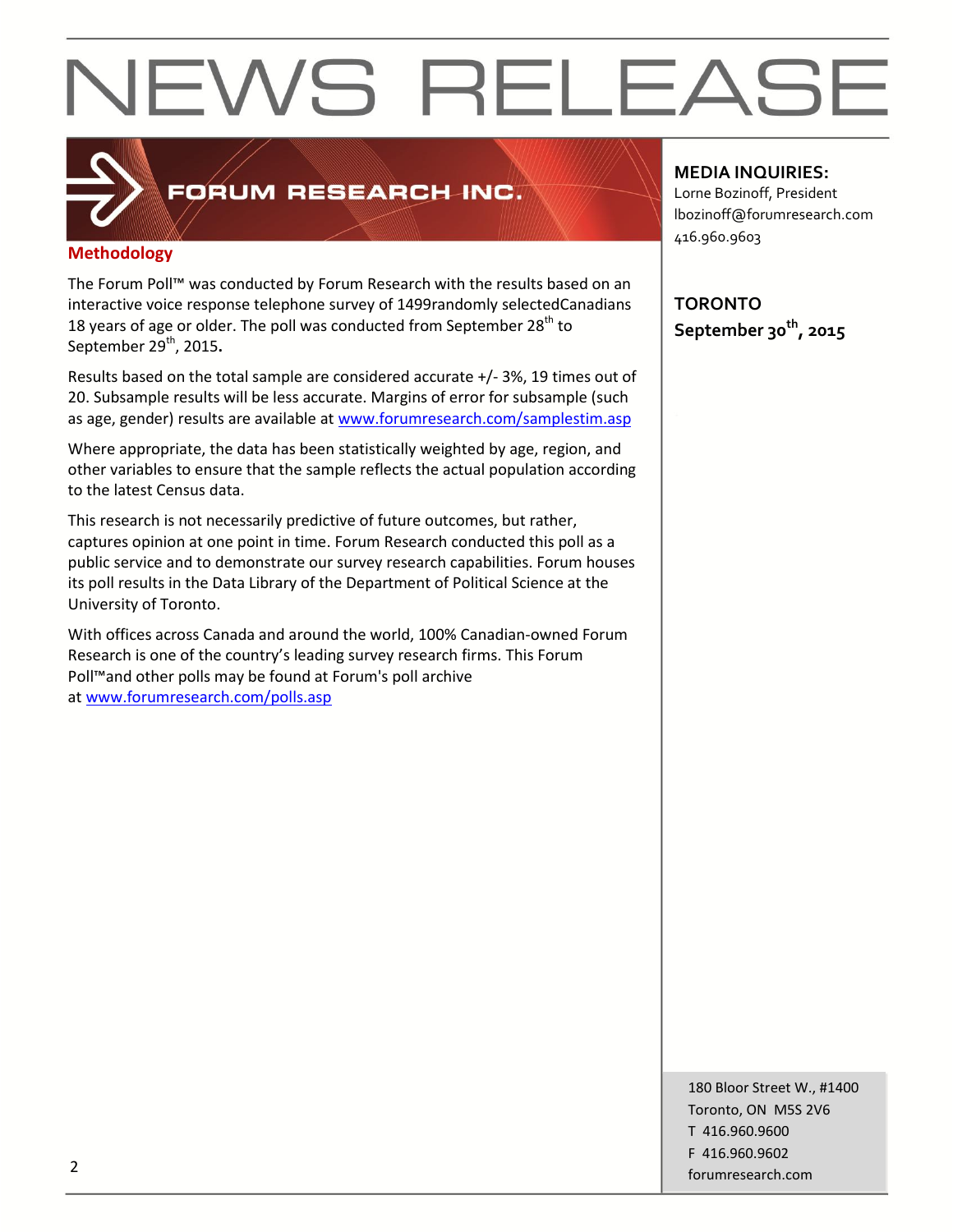

## FORUM RESEARCH INC.

#### **Methodology**

The Forum Poll™ was conducted by Forum Research with the results based on an interactive voice response telephone survey of 1499randomly selectedCanadians 18 years of age or older. The poll was conducted from September  $28<sup>th</sup>$  to September 29<sup>th</sup>, 2015.

Results based on the total sample are considered accurate +/- 3%, 19 times out of 20. Subsample results will be less accurate. Margins of error for subsample (such as age, gender) results are available at [www.forumresearch.com/samplestim.asp](http://www.forumresearch.com/samplestim.asp)

Where appropriate, the data has been statistically weighted by age, region, and other variables to ensure that the sample reflects the actual population according to the latest Census data.

This research is not necessarily predictive of future outcomes, but rather, captures opinion at one point in time. Forum Research conducted this poll as a public service and to demonstrate our survey research capabilities. Forum houses its poll results in the Data Library of the Department of Political Science at the University of Toronto.

With offices across Canada and around the world, 100% Canadian-owned Forum Research is one of the country's leading survey research firms. This Forum Poll™and other polls may be found at Forum's poll archive at [www.forumresearch.com/polls.asp](http://www.forumresearch.com/polls.asp)

**MEDIA INQUIRIES:**

Lorne Bozinoff, President lbozinoff@forumresearch.com 416.960.9603

**TORONTO September 30th, 2015**

180 Bloor Street W., #1400 Toronto, ON M5S 2V6 T 416.960.9600 F 416.960.9602 example to the contract of the contract of the contract of the contract of the contract of the contract of the contract of the contract of the contract of the contract of the contract of the contract of the contract of the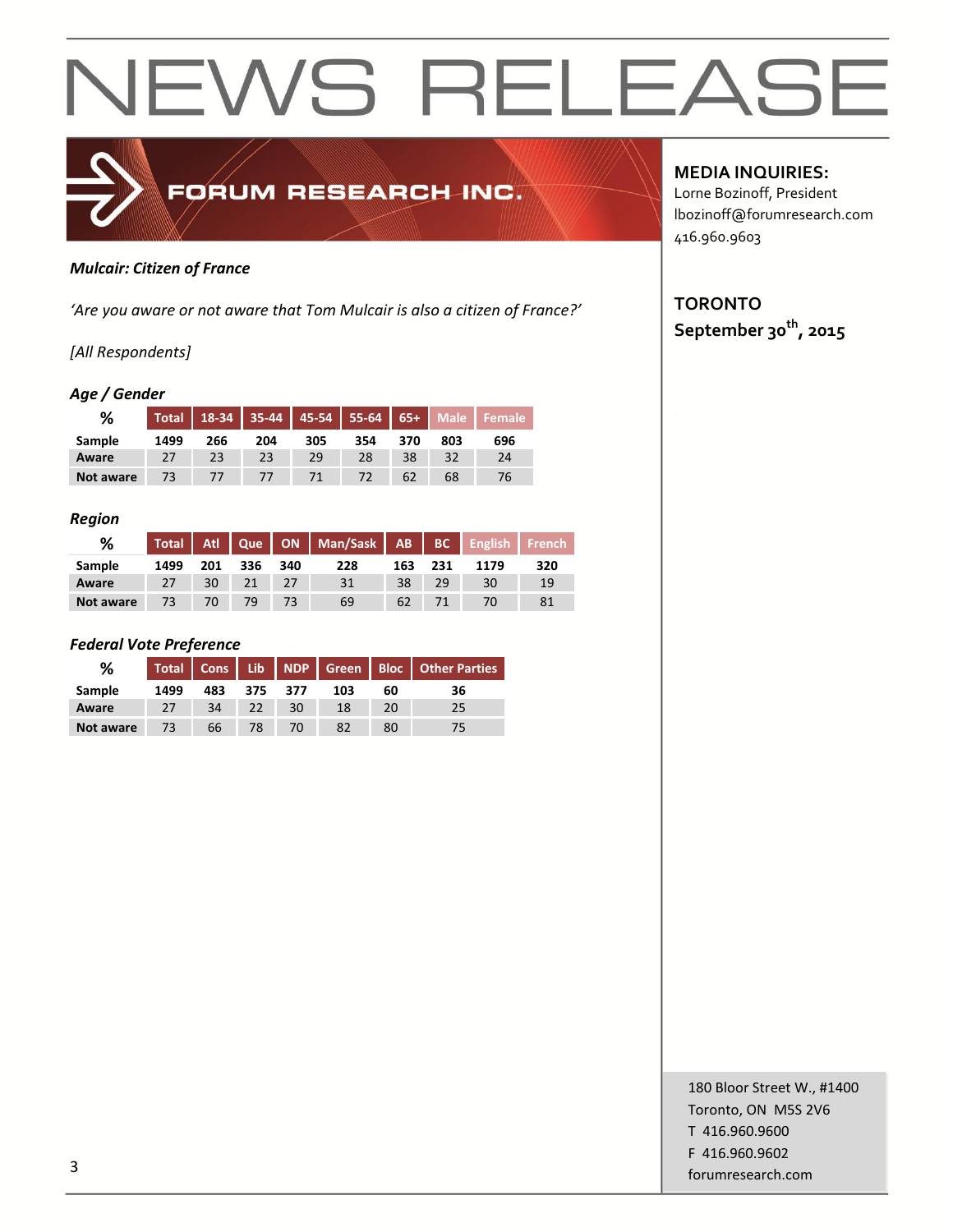

#### *Mulcair: Citizen of France*

*'Are you aware or not aware that Tom Mulcair is also a citizen of France?'*

#### *[All Respondents]*

#### *Age / Gender*

| ℅         | <b>Total</b> | $18-34$ |     |     | $35-44$   45-54   55-64   65+ |     | <b>Male</b> |     |
|-----------|--------------|---------|-----|-----|-------------------------------|-----|-------------|-----|
| Sample    | 1499         | 266     | 204 | 305 | 354                           | 370 | 803         | 696 |
| Aware     |              | 23      | 23  | 29  | 28                            | 38  | 32          | 24  |
| Not aware | 73           |         |     | 71  | 72                            | 62  | 68          | 76  |

#### *Region*

| %         |      |     |     |     | Total   Atl   Que   ON   Man/Sask   AB   BC   English   French |     |     |      |     |
|-----------|------|-----|-----|-----|----------------------------------------------------------------|-----|-----|------|-----|
| Sample    | 1499 | 201 | 336 | 340 | 228                                                            | 163 | 231 | 1179 | 320 |
| Aware     | 27   | 30  |     |     | 31                                                             | 38  | 29  | 30   | 19  |
| Not aware |      |     | 79  |     | 69                                                             | 62  |     |      |     |

#### *Federal Vote Preference*

| %         |      |     |     |      |     |    | Total Cons Lib NDP Green Bloc Other Parties |
|-----------|------|-----|-----|------|-----|----|---------------------------------------------|
| Sample    | 1499 | 483 | 375 | -377 | 103 | 60 | 36                                          |
| Aware     | 27   | 34  | 22  | 30   | 18  | 20 | 25                                          |
| Not aware | 73   | 66  | 78  | 70   |     | 80 |                                             |

**MEDIA INQUIRIES:**

Lorne Bozinoff, President lbozinoff@forumresearch.com 416.960.9603

## **TORONTO September 30th, 2015**

180 Bloor Street W., #1400 Toronto, ON M5S 2V6 T 416.960.9600 F 416.960.9602 for the contract of the contract of the contract of the contract of the contract of the contract of the contract of the contract of the contract of the contract of the contract of the contract of the contract of the contra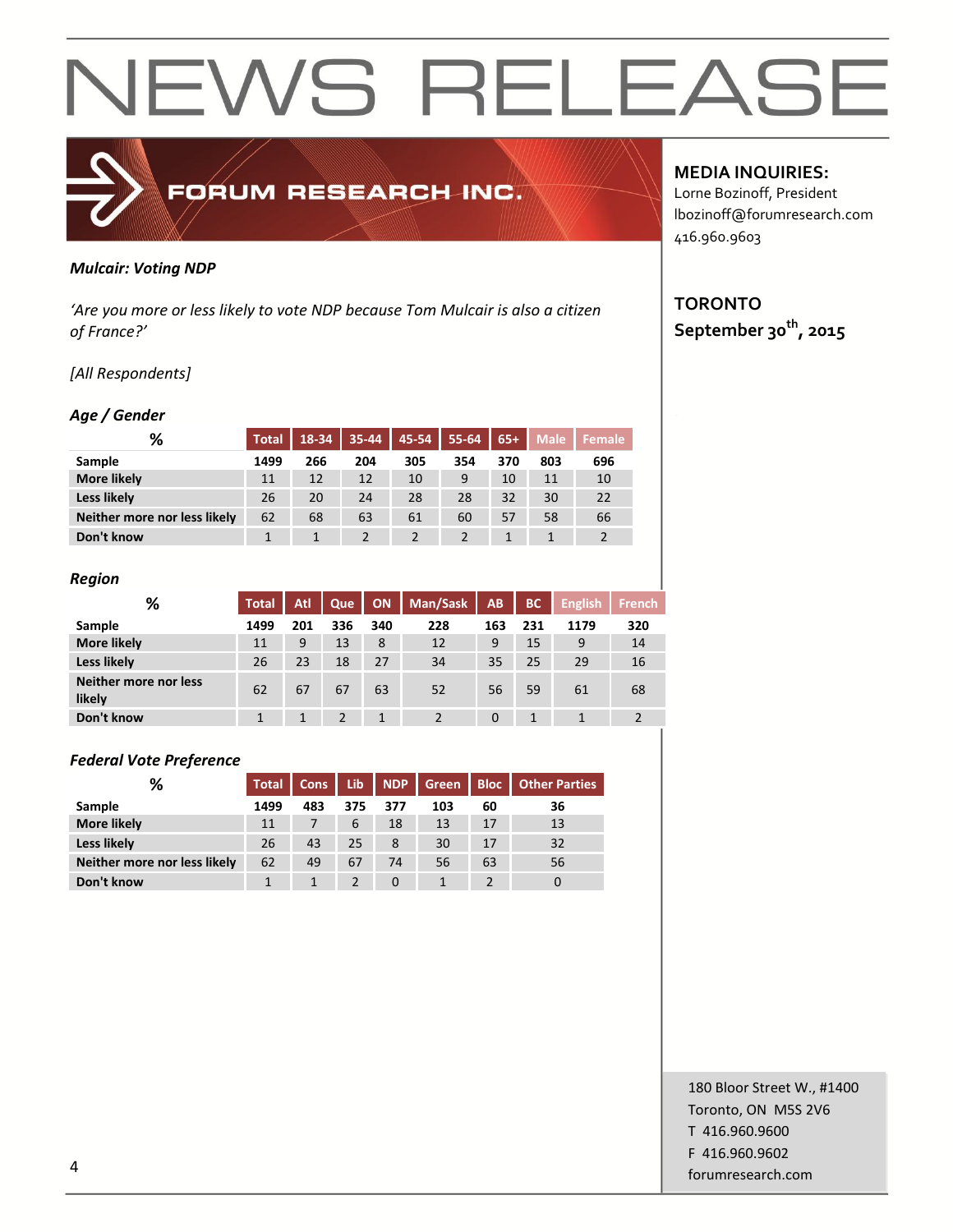

#### *Mulcair: Voting NDP*

*'Are you more or less likely to vote NDP because Tom Mulcair is also a citizen of France?'*

#### *[All Respondents]*

#### *Age / Gender*

| %                            | <b>Total</b> | 18-34 | 35-44 | 45-54 | $55 - 64$ | $65+$ | <b>Male</b> | <b>Female</b> |
|------------------------------|--------------|-------|-------|-------|-----------|-------|-------------|---------------|
| <b>Sample</b>                | 1499         | 266   | 204   | 305   | 354       | 370   | 803         | 696           |
| <b>More likely</b>           | 11           | 12    | 12    | 10    | 9         | 10    | 11          | 10            |
| <b>Less likely</b>           | 26           | 20    | 24    | 28    | 28        | 32    | 30          | 22            |
| Neither more nor less likely | 62           | 68    | 63    | 61    | 60        | 57    | 58          | 66            |
| Don't know                   |              |       |       |       |           |       |             |               |

#### *Region*

| %                               | <b>Total</b> | Atl | Que | <b>ON</b> | Man/Sask | AB       | <b>BC</b> | <b>English</b> | <b>French</b> |
|---------------------------------|--------------|-----|-----|-----------|----------|----------|-----------|----------------|---------------|
| Sample                          | 1499         | 201 | 336 | 340       | 228      | 163      | 231       | 1179           | 320           |
| <b>More likely</b>              | 11           | 9   | 13  | 8         | 12       | 9        | 15        | 9              | 14            |
| Less likely                     | 26           | 23  | 18  | 27        | 34       | 35       | 25        | 29             | 16            |
| Neither more nor less<br>likely | 62           | 67  | 67  | 63        | 52       | 56       | 59        | 61             | 68            |
| Don't know                      |              |     |     | 1         |          | $\Omega$ |           |                |               |

#### *Federal Vote Preference*

| %                            | <b>Total</b> | Cons | Lib | NDP      | Green | <b>Bloc</b> | <b>Other Parties</b> |
|------------------------------|--------------|------|-----|----------|-------|-------------|----------------------|
| Sample                       | 1499         | 483  | 375 | 377      | 103   | 60          | 36                   |
| <b>More likely</b>           | 11           |      | 6   | 18       | 13    | 17          | 13                   |
| Less likely                  | 26           | 43   | 25  | 8        | 30    | 17          | 32                   |
| Neither more nor less likely | 62           | 49   | 67  | 74       | 56    | 63          | 56                   |
| Don't know                   |              |      |     | $\Omega$ |       |             |                      |

### **MEDIA INQUIRIES:**

Lorne Bozinoff, President lbozinoff@forumresearch.com 416.960.9603

## **TORONTO September 30th, 2015**

180 Bloor Street W., #1400 Toronto, ON M5S 2V6 T 416.960.9600 F 416.960.9602 example to the contract of the contract of the contract of the contract of the contract of the contract of the contract of the contract of the contract of the contract of the contract of the contract of the contract of the